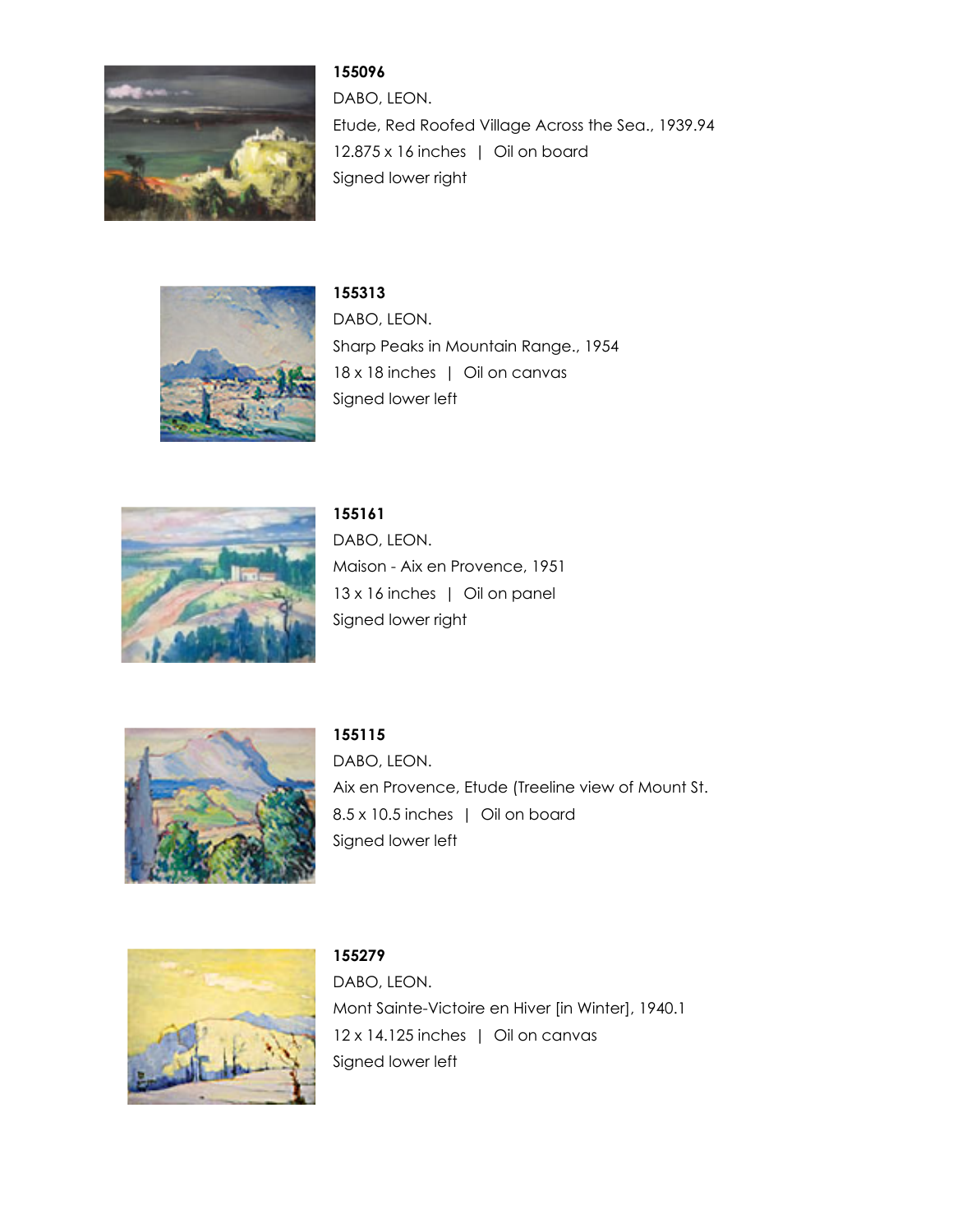

DABO, LEON. Etude, Red Roofed Village Across the Sea., 1939.94 12.875 x 16 inches | Oil on board Signed lower right



**155313** DABO, LEON. Sharp Peaks in Mountain Range., 1954 18 x 18 inches | Oil on canvas Signed lower left



**155161** DABO, LEON. Maison - Aix en Provence, 1951 13 x 16 inches | Oil on panel Signed lower right



**155115** DABO, LEON. Aix en Provence, Etude (Treeline view of Mount St. 8.5 x 10.5 inches | Oil on board Signed lower left



**155279** DABO, LEON. Mont Sainte-Victoire en Hiver [in Winter], 1940.1 12 x 14.125 inches | Oil on canvas Signed lower left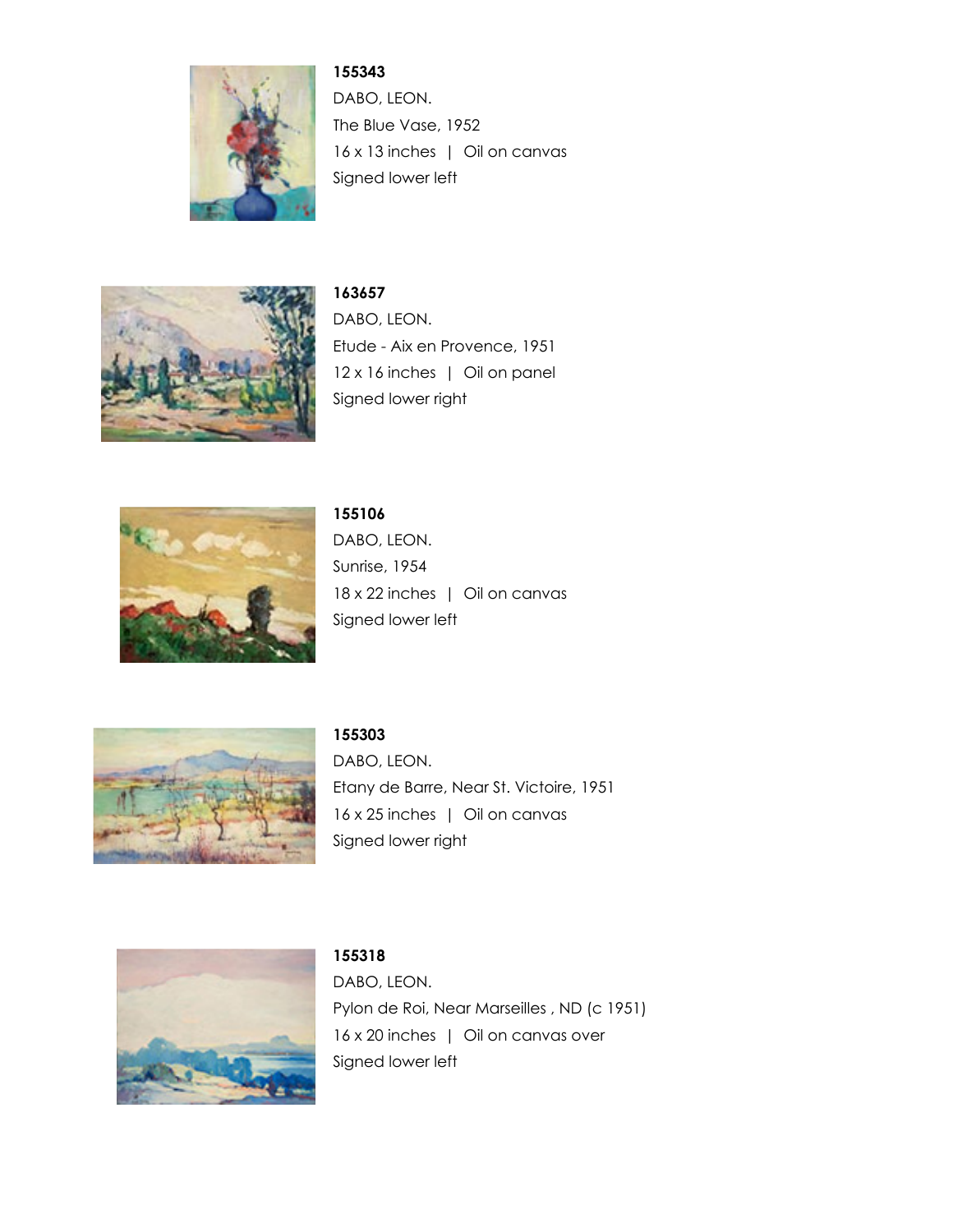

DABO, LEON. The Blue Vase, 1952 16 x 13 inches | Oil on canvas Signed lower left



**163657** DABO, LEON. Etude - Aix en Provence, 1951 12 x 16 inches | Oil on panel Signed lower right



**155106** DABO, LEON. Sunrise, 1954 18 x 22 inches | Oil on canvas Signed lower left



**155303** DABO, LEON. Etany de Barre, Near St. Victoire, 1951 16 x 25 inches | Oil on canvas Signed lower right



DABO, LEON. Pylon de Roi, Near Marseilles, ND (c 1951) 16 x 20 inches | Oil on canvas over Signed lower left

**155318**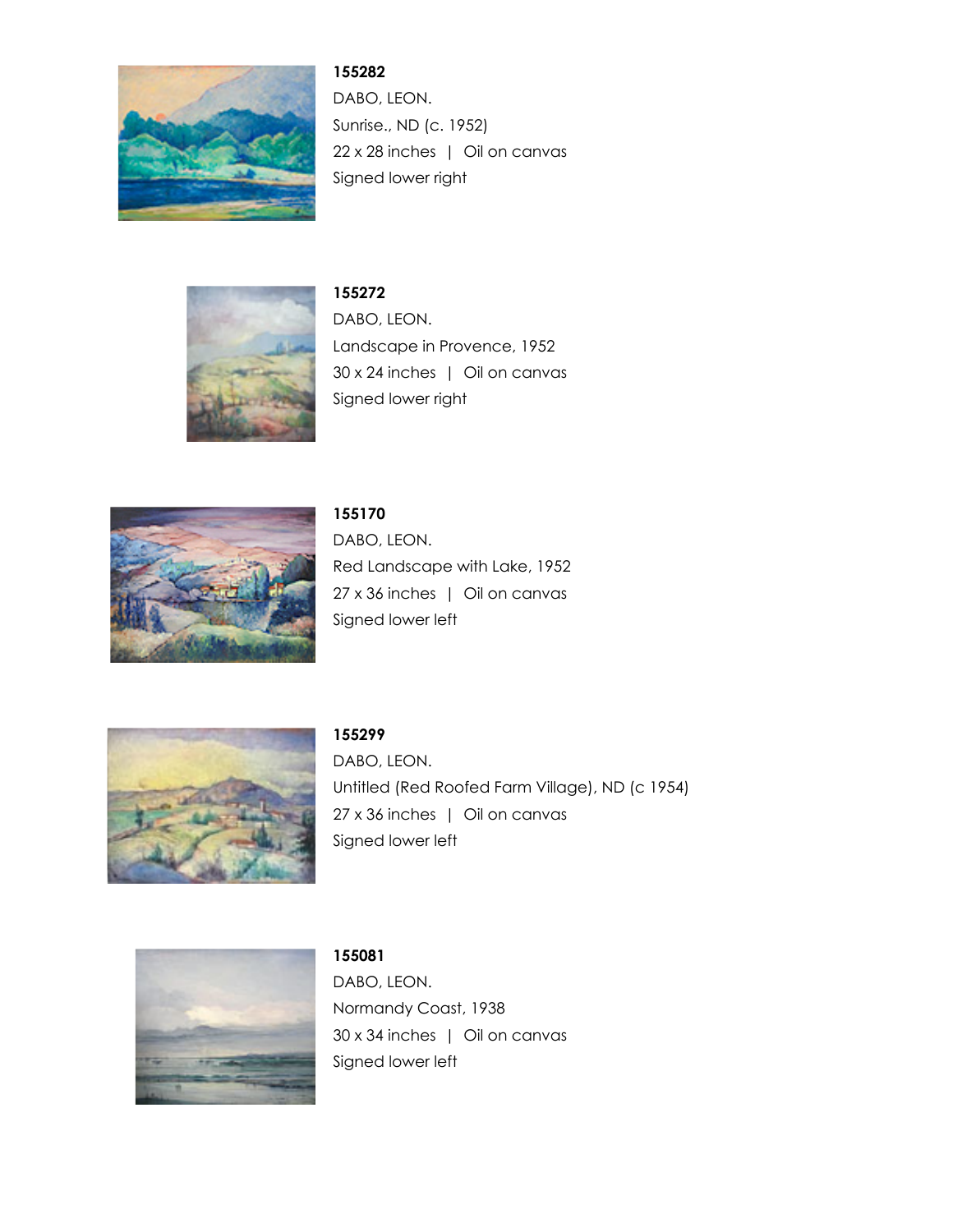

DABO, LEON. Sunrise., ND (c. 1952) 22 x 28 inches | Oil on canvas Signed lower right



**155272** DABO, LEON. Landscape in Provence, 1952 30 x 24 inches | Oil on canvas Signed lower right



**155170** DABO, LEON. Red Landscape with Lake, 1952 27 x 36 inches | Oil on canvas Signed lower left



**155299** DABO, LEON. Untitled (Red Roofed Farm Village), ND (c 1954) 27 x 36 inches | Oil on canvas Signed lower left



**155081** DABO, LEON. Normandy Coast, 1938 30 x 34 inches | Oil on canvas Signed lower left